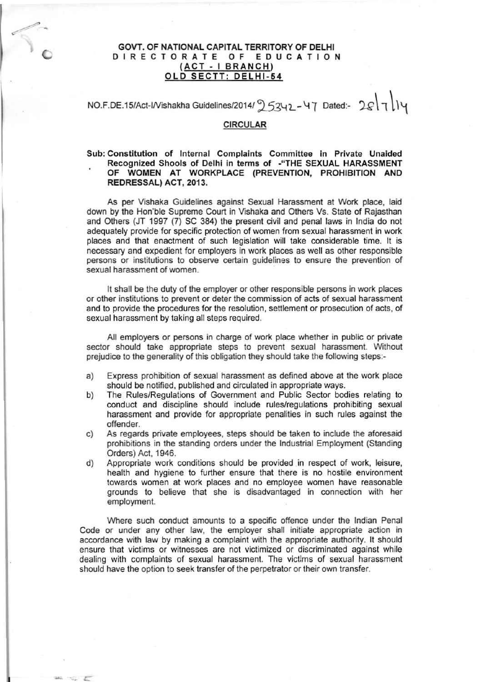## GOVT. OF NATIONAL CAPITAL TERRITORY OF DELHI DIRECTORATE OF EDUCATION (ACT - I BRANCH) OLD SECTT: DELHI-54

o

## $NO.F.DE.15/Act-1N$ ishakha Guidelines/2014/ $25342-47$  Dated:  $2811$

## CIRCULAR

## Sub: Constitution of Internal Complaints Committee in Private Unaided Recognized Shools of Deihl in terms of -"THE SEXUAL HARASSMENT OF WOMEN AT WORKPLACE (PREVENTION, PROHIBITION AND REDRESSAL) ACT, 2013.

As per Vishaka Guidelines against Sexual Harassment at Work place, laid down by the Hen'ble Supreme Court in Vishaka and Others Vs. State of Rajasthan and Others (JT 1997 (7) SC 384) the present civil and penal laws in India do not adequately provide for specific protection of women from sexual harassment in work places and that enactment of such legislation will take considerable time. It is necessary and expedient for employers in work places as well as other responsible persons or institutions to observe certain guidelines to ensure the prevention of sexual harassment of women.

It shall be the duty of the employer or other responsible persons in work places or other institutions to prevent or deter the commission of acts of sexual harassment and to provide the procedures for the resolution, settlement or prosecution of acts, of sexual harassment by taking all steps required.

All employers or persons in charge of work place whether in public or private sector should take appropriate steps to prevent sexual harassment. Without prejudice to the generality of this obligation they should take the following steps:-

- a) Express prohibition of sexual harassment as defined above at the work place should be notified, published and circulated in appropriate ways.
- b) The Rules/Regulations of Government and Public Sector bodies relating to conduct and discipline should include rules/regulations prohibiting sexual harassment and provide for appropriate penalities in such rules against the offender.
- c) As regards private employees, steps should be taken to include the aforesaid prohibitions in the standing orders under the Industrial Employment (Standing Orders) Act, 1946.
- d) Appropriate work conditions should be provided in respect of work, leisure, health and hygiene to further ensure that there is no hostile environment towards women at work places and no employee women have reasonable grounds to believe that she is disadvantaged in connection with her employment.

Where such conduct amounts to a specific offence under the Indian Penal Code or under any other law, the employer shall initiate appropriate action in accordance with law by making a complaint with the appropriate authority. It should ensure that victims or witnesses are not victimized or discriminated against while dealing with complaints of sexual harassment. The victims of sexual harassment should have the option to seek transfer of the perpetrator or their own transfer.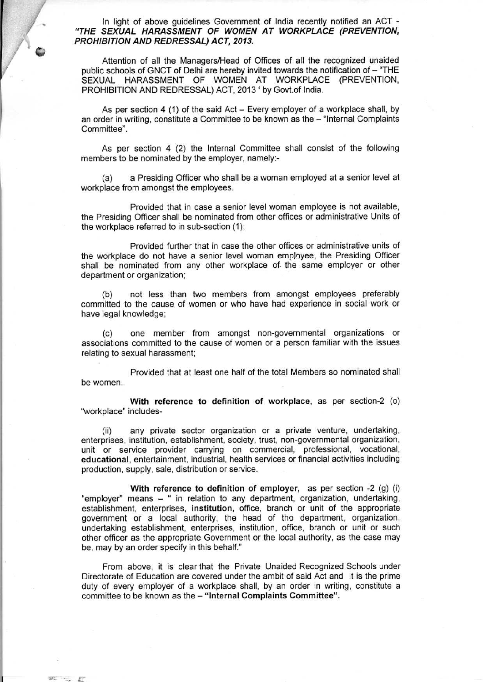In light of above guidelines Government of India recently notified an ACT - *"THE SEXUAL HARASSMENT OF WOMEN AT WORKPLACE (PREVENTION, PROHIBITION AND REDRESSAL) ACT, 2013.*

Attention of all the Managers/Head of Offices of all the recognized unaided public schools of GNCT of Delhi are hereby invited towards the notification of - "THE SEXUAL HARASSMENT OF WOMEN AT WORKPLACE (PREVENTION, PROHIBITION AND REDRESSAL) ACT, 2013 ' by Govt.of India.

As per section 4 (1) of the said  $Act - Every$  employer of a workplace shall, by an order in writing, constitute a Committee to be known as the  $-$  "Internal Complaints Committee".

As per section 4 (2) the Internal Committee shall consist of the following members to be nominated by the employer, namely:-

(a) a Presiding Officer who shall be a woman employed at a senior level at workplace from amongst the employees.

Provided that in case a senior level woman employee is not available, the Presiding Officer shall be nominated from other offices or administrative Units of the workplace referred to in sub-section (1);

Provided further that in case the other offices or administrative units of the workplace do not have a senior level woman employee, the Presiding Officer shall be nominated from any other workplace of. the same employer or other department or organization;

(b) not less than two members from amongst employees preferably committed to the cause of women or who have had experience in social work or have legal knowledge;

(c) one member from amongst non-governmental organizations or associations committed to the cause of women or a person familiar with the issues relating to sexual harassment;

Provided that at least one half of the total Members so nominated shall be women.

With reference to definition of workplace, as per section-2 (o) "workplace" includes-

(ii) any private sector organization or a private venture, undertaking, enterprises, institution, establishment, society, trust, non-governmental organization, unit or service provider carrying on commercial, professional, vocational, educational, entertainment, industrial, health services or financial activities including production, supply, sale, distribution or service.

With reference to definition of employer, as per section -2 (g) (i) "employer" means - " in relation to any department, organization, undertaking, establishment, enterprises, institution, office, branch or unit of the appropriate government or a local authority, the head of the department, organization, undertaking establishment, enterprises, institution, office, branch or unit or such other officer as the appropriate Government or the local authority, as the case may be, may by an order specify in this behalf."

From above, it is clear that the Private Unaided Recognized Schools under Directorate of Education are covered under the ambit of said Act and It is the prime duty of every employer of a workplace shall, by an order in writing, constitute a committee to be known as the - "Internal Complaints Committee".